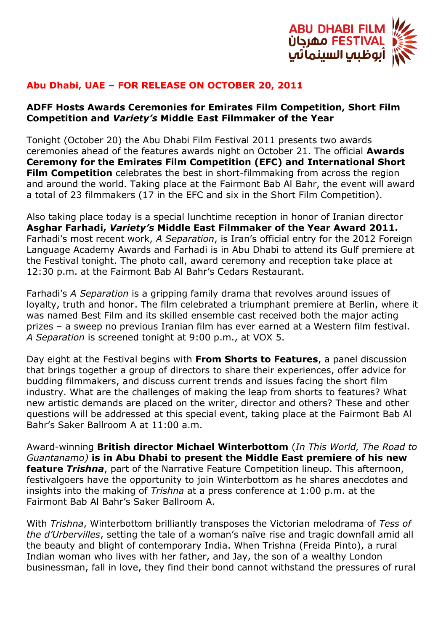

## **Abu Dhabi, UAE – FOR RELEASE ON OCTOBER 20, 2011**

## **ADFF Hosts Awards Ceremonies for Emirates Film Competition, Short Film Competition and** *Variety's* **Middle East Filmmaker of the Year**

Tonight (October 20) the Abu Dhabi Film Festival 2011 presents two awards ceremonies ahead of the features awards night on October 21. The official **Awards Ceremony for the Emirates Film Competition (EFC) and International Short Film Competition** celebrates the best in short-filmmaking from across the region and around the world. Taking place at the Fairmont Bab Al Bahr, the event will award a total of 23 filmmakers (17 in the EFC and six in the Short Film Competition).

Also taking place today is a special lunchtime reception in honor of Iranian director **Asghar Farhadi,** *Variety's* **Middle East Filmmaker of the Year Award 2011.** Farhadi's most recent work, *A Separation*, is Iran's official entry for the 2012 Foreign Language Academy Awards and Farhadi is in Abu Dhabi to attend its Gulf premiere at the Festival tonight. The photo call, award ceremony and reception take place at 12:30 p.m. at the Fairmont Bab Al Bahr's Cedars Restaurant.

Farhadi's *A Separation* is a gripping family drama that revolves around issues of loyalty, truth and honor. The film celebrated a triumphant premiere at Berlin, where it was named Best Film and its skilled ensemble cast received both the major acting prizes – a sweep no previous Iranian film has ever earned at a Western film festival. *A Separation* is screened tonight at 9:00 p.m., at VOX 5.

Day eight at the Festival begins with **From Shorts to Features**, a panel discussion that brings together a group of directors to share their experiences, offer advice for budding filmmakers, and discuss current trends and issues facing the short film industry. What are the challenges of making the leap from shorts to features? What new artistic demands are placed on the writer, director and others? These and other questions will be addressed at this special event, taking place at the Fairmont Bab Al Bahr's Saker Ballroom A at 11:00 a.m.

Award-winning **British director Michael Winterbottom** (*In This World, The Road to Guantanamo)* **is in Abu Dhabi to present the Middle East premiere of his new feature** *Trishna*, part of the Narrative Feature Competition lineup. This afternoon, festivalgoers have the opportunity to join Winterbottom as he shares anecdotes and insights into the making of *Trishna* at a press conference at 1:00 p.m. at the Fairmont Bab Al Bahr's Saker Ballroom A.

With *Trishna*, Winterbottom brilliantly transposes the Victorian melodrama of *Tess of the d'Urbervilles*, setting the tale of a woman's naïve rise and tragic downfall amid all the beauty and blight of contemporary India. When Trishna (Freida Pinto), a rural Indian woman who lives with her father, and Jay, the son of a wealthy London businessman, fall in love, they find their bond cannot withstand the pressures of rural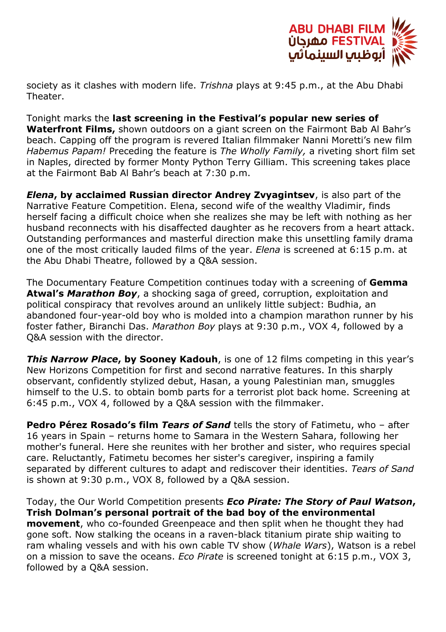

society as it clashes with modern life. *Trishna* plays at 9:45 p.m., at the Abu Dhabi Theater.

Tonight marks the **last screening in the Festival's popular new series of Waterfront Films,** shown outdoors on a giant screen on the Fairmont Bab Al Bahr's beach. Capping off the program is revered Italian filmmaker Nanni Moretti's new film *Habemus Papam!* Preceding the feature is *The Wholly Family,* a riveting short film set in Naples, directed by former Monty Python Terry Gilliam. This screening takes place at the Fairmont Bab Al Bahr's beach at 7:30 p.m.

*Elena***, by acclaimed Russian director Andrey Zvyagintsev**, is also part of the Narrative Feature Competition. Elena, second wife of the wealthy Vladimir, finds herself facing a difficult choice when she realizes she may be left with nothing as her husband reconnects with his disaffected daughter as he recovers from a heart attack. Outstanding performances and masterful direction make this unsettling family drama one of the most critically lauded films of the year. *Elena* is screened at 6:15 p.m. at the Abu Dhabi Theatre, followed by a Q&A session.

The Documentary Feature Competition continues today with a screening of **Gemma Atwal's** *Marathon Boy*, a shocking saga of greed, corruption, exploitation and political conspiracy that revolves around an unlikely little subject: Budhia, an abandoned four-year-old boy who is molded into a champion marathon runner by his foster father, Biranchi Das. *Marathon Boy* plays at 9:30 p.m., VOX 4, followed by a Q&A session with the director.

**This Narrow Place, by Sooney Kadouh**, is one of 12 films competing in this year's New Horizons Competition for first and second narrative features. In this sharply observant, confidently stylized debut, Hasan, a young Palestinian man, smuggles himself to the U.S. to obtain bomb parts for a terrorist plot back home. Screening at 6:45 p.m., VOX 4, followed by a Q&A session with the filmmaker.

**Pedro Pérez Rosado's film** *Tears of Sand* tells the story of Fatimetu, who – after 16 years in Spain – returns home to Samara in the Western Sahara, following her mother's funeral. Here she reunites with her brother and sister, who requires special care. Reluctantly, Fatimetu becomes her sister's caregiver, inspiring a family separated by different cultures to adapt and rediscover their identities. *Tears of Sand* is shown at 9:30 p.m., VOX 8, followed by a Q&A session.

Today, the Our World Competition presents *Eco Pirate: The Story of Paul Watson***, Trish Dolman's personal portrait of the bad boy of the environmental movement**, who co-founded Greenpeace and then split when he thought they had gone soft. Now stalking the oceans in a raven-black titanium pirate ship waiting to ram whaling vessels and with his own cable TV show (*Whale Wars*), Watson is a rebel on a mission to save the oceans. *Eco Pirate* is screened tonight at 6:15 p.m., VOX 3, followed by a Q&A session.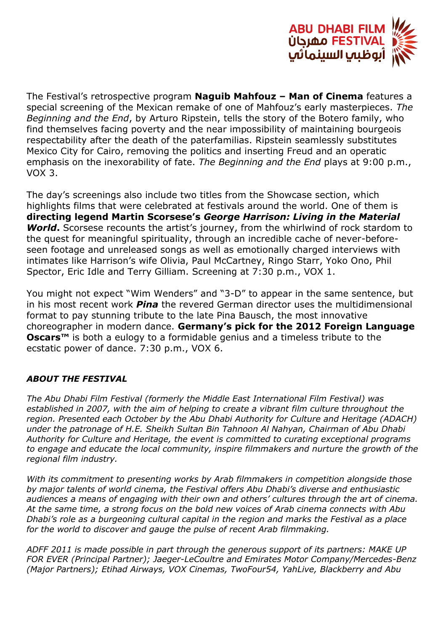

The Festival's retrospective program **Naguib Mahfouz – Man of Cinema** features a special screening of the Mexican remake of one of Mahfouz's early masterpieces. *The Beginning and the End*, by Arturo Ripstein, tells the story of the Botero family, who find themselves facing poverty and the near impossibility of maintaining bourgeois respectability after the death of the paterfamilias. Ripstein seamlessly substitutes Mexico City for Cairo, removing the politics and inserting Freud and an operatic emphasis on the inexorability of fate. *The Beginning and the End* plays at 9:00 p.m., VOX 3.

The day's screenings also include two titles from the Showcase section, which highlights films that were celebrated at festivals around the world. One of them is **directing legend Martin Scorsese's** *George Harrison: Living in the Material World*. Scorsese recounts the artist's journey, from the whirlwind of rock stardom to the quest for meaningful spirituality, through an incredible cache of never-beforeseen footage and unreleased songs as well as emotionally charged interviews with intimates like Harrison's wife Olivia, Paul McCartney, Ringo Starr, Yoko Ono, Phil Spector, Eric Idle and Terry Gilliam. Screening at 7:30 p.m., VOX 1.

You might not expect "Wim Wenders" and "3-D" to appear in the same sentence, but in his most recent work *Pina* the revered German director uses the multidimensional format to pay stunning tribute to the late Pina Bausch, the most innovative choreographer in modern dance. **Germany's pick for the 2012 Foreign Language Oscars™** is both a eulogy to a formidable genius and a timeless tribute to the ecstatic power of dance. 7:30 p.m., VOX 6.

## *ABOUT THE FESTIVAL*

*The Abu Dhabi Film Festival (formerly the Middle East International Film Festival) was established in 2007, with the aim of helping to create a vibrant film culture throughout the region. Presented each October by the Abu Dhabi Authority for Culture and Heritage (ADACH) under the patronage of H.E. Sheikh Sultan Bin Tahnoon Al Nahyan, Chairman of Abu Dhabi Authority for Culture and Heritage, the event is committed to curating exceptional programs to engage and educate the local community, inspire filmmakers and nurture the growth of the regional film industry.*

*With its commitment to presenting works by Arab filmmakers in competition alongside those by major talents of world cinema, the Festival offers Abu Dhabi's diverse and enthusiastic audiences a means of engaging with their own and others' cultures through the art of cinema. At the same time, a strong focus on the bold new voices of Arab cinema connects with Abu Dhabi's role as a burgeoning cultural capital in the region and marks the Festival as a place for the world to discover and gauge the pulse of recent Arab filmmaking.*

*ADFF 2011 is made possible in part through the generous support of its partners: MAKE UP FOR EVER (Principal Partner); Jaeger-LeCoultre and Emirates Motor Company/Mercedes-Benz (Major Partners); Etihad Airways, VOX Cinemas, TwoFour54, YahLive, Blackberry and Abu*